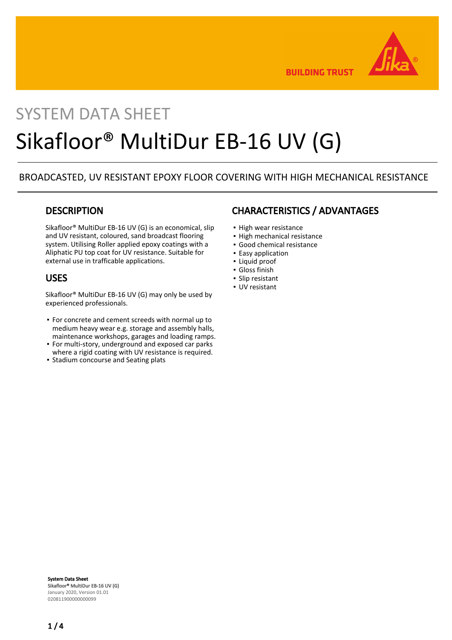

**BUILDING TRUST** 

# SYSTEM DATA SHEET Sikafloor® MultiDur EB-16 UV (G)

## BROADCASTED, UV RESISTANT EPOXY FLOOR COVERING WITH HIGH MECHANICAL RESISTANCE

## **DESCRIPTION**

Sikafloor® MultiDur EB-16 UV (G) is an economical, slip and UV resistant, coloured, sand broadcast flooring system. Utilising Roller applied epoxy coatings with a Aliphatic PU top coat for UV resistance. Suitable for external use in trafficable applications.

## USES

Sikafloor® MultiDur EB-16 UV (G) may only be used by experienced professionals.

- For concrete and cement screeds with normal up to medium heavy wear e.g. storage and assembly halls, maintenance workshops, garages and loading ramps.
- For multi-story, underground and exposed car parks where a rigid coating with UV resistance is required.
- Stadium concourse and Seating plats

## CHARACTERISTICS / ADVANTAGES

- High wear resistance
- High mechanical resistance
- Good chemical resistance
- **Easy application**
- Liquid proof
- Gloss finish
- Slip resistant
- UV resistant

System Data Sheet Sikafloor® MultiDur EB-16 UV (G) January 2020, Version 01.01 020811900000000099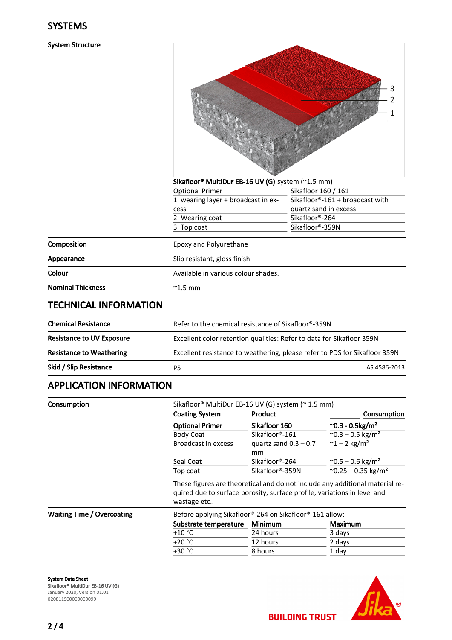#### System Structure

|                              |                                                               | 3<br>2                          |
|------------------------------|---------------------------------------------------------------|---------------------------------|
|                              | Sikafloor <sup>®</sup> MultiDur EB-16 UV (G) system (~1.5 mm) |                                 |
|                              | <b>Optional Primer</b>                                        | Sikafloor 160 / 161             |
|                              | 1. wearing layer + broadcast in ex-                           | Sikafloor®-161 + broadcast with |
|                              | cess                                                          | quartz sand in excess           |
|                              | 2. Wearing coat                                               | Sikafloor®-264                  |
|                              | 3. Top coat                                                   | Sikafloor®-359N                 |
| Composition                  | Epoxy and Polyurethane                                        |                                 |
| Appearance                   | Slip resistant, gloss finish                                  |                                 |
| Colour                       | Available in various colour shades.                           |                                 |
| <b>Nominal Thickness</b>     | $^{\sim}$ 1.5 mm                                              |                                 |
| <b>TECHNICAL INFORMATION</b> |                                                               |                                 |

 $\sqrt{ }$ 

| <b>Chemical Resistance</b>       | Refer to the chemical resistance of Sikafloor®-359N                        |  |
|----------------------------------|----------------------------------------------------------------------------|--|
| <b>Resistance to UV Exposure</b> | Excellent color retention qualities: Refer to data for Sikafloor 359N      |  |
| <b>Resistance to Weathering</b>  | Excellent resistance to weathering, please refer to PDS for Sikafloor 359N |  |
| Skid / Slip Resistance           | AS 4586-2013<br>P5                                                         |  |
|                                  |                                                                            |  |

## APPLICATION INFORMATION

| Consumption                       |                                                                                                                                                                         | Sikafloor® MultiDur EB-16 UV (G) system (~ 1.5 mm)      |                                          |  |  |
|-----------------------------------|-------------------------------------------------------------------------------------------------------------------------------------------------------------------------|---------------------------------------------------------|------------------------------------------|--|--|
|                                   | <b>Coating System</b>                                                                                                                                                   | <b>Product</b>                                          | <b>Consumption</b>                       |  |  |
|                                   | <b>Optional Primer</b>                                                                                                                                                  | Sikafloor 160                                           | $^{\circ}$ 0.3 - 0.5kg/m <sup>2</sup>    |  |  |
|                                   | <b>Body Coat</b>                                                                                                                                                        | Sikafloor®-161                                          | $^{\sim}$ 0.3 – 0.5 kg/m <sup>2</sup>    |  |  |
|                                   | Broadcast in excess                                                                                                                                                     | quartz sand $0.3 - 0.7$<br>mm                           | $~^{\sim}$ 1 – 2 kg/m <sup>2</sup>       |  |  |
|                                   | Seal Coat                                                                                                                                                               | Sikafloor®-264                                          | $^{\sim}$ 0.5 – 0.6 kg/m <sup>2</sup>    |  |  |
|                                   | Top coat                                                                                                                                                                | Sikafloor®-359N                                         | $^{\circ}$ 0.25 – 0.35 kg/m <sup>2</sup> |  |  |
|                                   | These figures are theoretical and do not include any additional material re-<br>quired due to surface porosity, surface profile, variations in level and<br>wastage etc |                                                         |                                          |  |  |
| <b>Waiting Time / Overcoating</b> |                                                                                                                                                                         | Before applying Sikafloor®-264 on Sikafloor®-161 allow: |                                          |  |  |
|                                   | Substrate temperature                                                                                                                                                   | <b>Minimum</b>                                          | Maximum                                  |  |  |
|                                   | $+10 °C$                                                                                                                                                                | 24 hours                                                | 3 days                                   |  |  |
|                                   | $+20 °C$                                                                                                                                                                | 12 hours                                                | 2 days                                   |  |  |
|                                   | +30 °C                                                                                                                                                                  | 8 hours                                                 | 1 day                                    |  |  |
|                                   |                                                                                                                                                                         |                                                         |                                          |  |  |

#### System Data Sheet Sikafloor® MultiDur EB-16 UV (G) January 2020, Version 01.01 020811900000000099

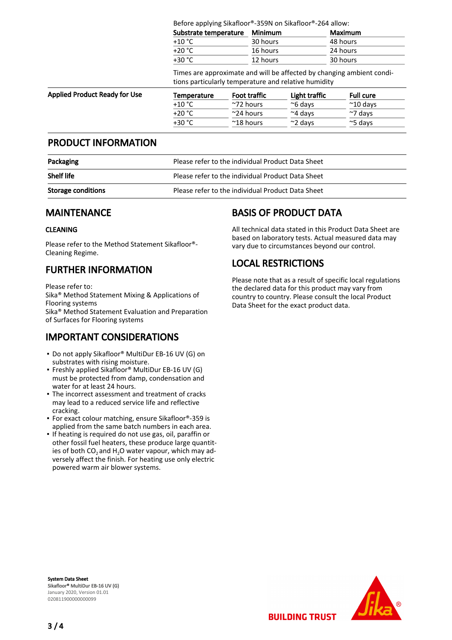Before applying Sikafloor®-359N on Sikafloor®-264 allow:

| Substrate temperature | Minimum  | Maximum  |
|-----------------------|----------|----------|
| $+10\degree$ C        | 30 hours | 48 hours |
| +20 °C                | 16 hours | 24 hours |
| +30 °C                | 12 hours | 30 hours |

Times are approximate and will be affected by changing ambient conditions particularly temperature and relative humidity

| <b>Applied Product Ready for Use</b> | Temperature | <b>Foot traffic</b> | Light traffic    | <b>Full cure</b>   |
|--------------------------------------|-------------|---------------------|------------------|--------------------|
|                                      | $+10 °C$    | $~\gamma$ 72 hours  | $~\sim$ 6 davs   | $~^{\sim}$ 10 days |
|                                      | +20 °C      | $\sim$ 24 hours     | $~\sim$ 4 davs   | $~\sim$ 7 davs     |
|                                      | +30 °C      | $~^{\sim}$ 18 hours | $\approx$ 2 davs | $\approx$ 5 davs   |

#### PRODUCT INFORMATION

| Packaging                 | Please refer to the individual Product Data Sheet |
|---------------------------|---------------------------------------------------|
| <b>Shelf life</b>         | Please refer to the individual Product Data Sheet |
| <b>Storage conditions</b> | Please refer to the individual Product Data Sheet |

#### MAINTENANCE

#### CLEANING

Please refer to the Method Statement Sikafloor®- Cleaning Regime.

## FURTHER INFORMATION

Please refer to:

Sika® Method Statement Mixing & Applications of Flooring systems

Sika® Method Statement Evaluation and Preparation of Surfaces for Flooring systems

## IMPORTANT CONSIDERATIONS

- Do not apply Sikafloor® MultiDur EB-16 UV (G) on substrates with rising moisture.
- **Freshly applied Sikafloor® MultiDur EB-16 UV (G)** must be protected from damp, condensation and water for at least 24 hours.
- **The incorrect assessment and treatment of cracks** may lead to a reduced service life and reflective cracking.
- For exact colour matching, ensure Sikafloor®-359 is applied from the same batch numbers in each area.
- If heating is required do not use gas, oil, paraffin or other fossil fuel heaters, these produce large quantities of both  $CO<sub>2</sub>$  and H<sub>2</sub>O water vapour, which may adversely affect the finish. For heating use only electric powered warm air blower systems.

## BASIS OF PRODUCT DATA

All technical data stated in this Product Data Sheet are based on laboratory tests. Actual measured data may vary due to circumstances beyond our control.

# LOCAL RESTRICTIONS

Please note that as a result of specific local regulations the declared data for this product may vary from country to country. Please consult the local Product Data Sheet for the exact product data.

System Data Sheet Sikafloor® MultiDur EB-16 UV (G) January 2020, Version 01.01 020811900000000099



**BUILDING TRUST**